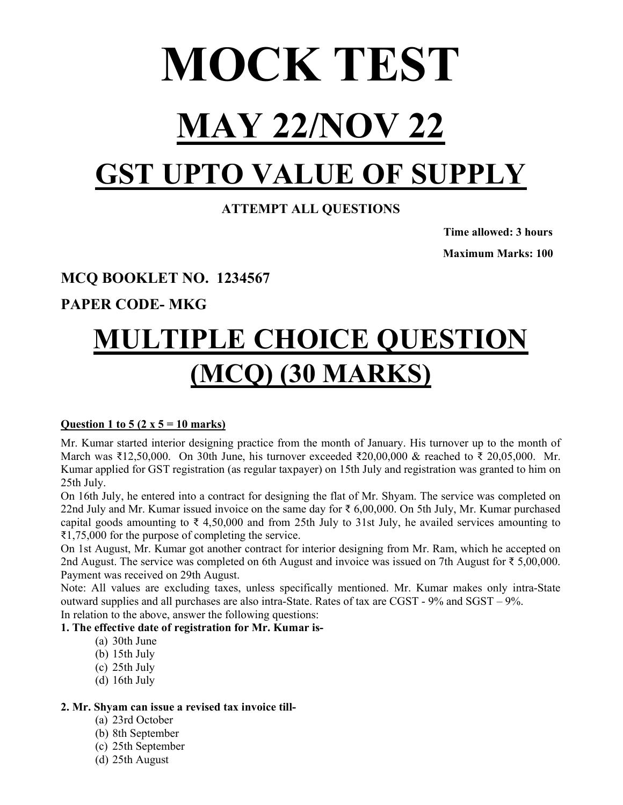# MOCK TEST MAY 22/NOV 22

## GST UPTO VALUE OF SUPPLY

## ATTEMPT ALL QUESTIONS

 Time allowed: 3 hours Maximum Marks: 100

## MCQ BOOKLET NO. 1234567

PAPER CODE- MKG

## MULTIPLE CHOICE QUESTION (MCQ) (30 MARKS)

## Question 1 to 5 (2 x  $5 = 10$  marks)

Mr. Kumar started interior designing practice from the month of January. His turnover up to the month of March was ₹12,50,000. On 30th June, his turnover exceeded ₹20,00,000 & reached to ₹ 20,05,000. Mr. Kumar applied for GST registration (as regular taxpayer) on 15th July and registration was granted to him on 25th July.

On 16th July, he entered into a contract for designing the flat of Mr. Shyam. The service was completed on 22nd July and Mr. Kumar issued invoice on the same day for ₹ 6,00,000. On 5th July, Mr. Kumar purchased capital goods amounting to  $\overline{\xi}$  4,50,000 and from 25th July to 31st July, he availed services amounting to ₹1,75,000 for the purpose of completing the service.

On 1st August, Mr. Kumar got another contract for interior designing from Mr. Ram, which he accepted on 2nd August. The service was completed on 6th August and invoice was issued on 7th August for ₹ 5,00,000. Payment was received on 29th August.

Note: All values are excluding taxes, unless specifically mentioned. Mr. Kumar makes only intra-State outward supplies and all purchases are also intra-State. Rates of tax are CGST - 9% and SGST – 9%. In relation to the above, answer the following questions:

## 1. The effective date of registration for Mr. Kumar is-

- (a) 30th June
- (b) 15th July
- (c) 25th July
- (d) 16th July

## 2. Mr. Shyam can issue a revised tax invoice till-

- (a) 23rd October
- (b) 8th September
- (c) 25th September
- (d) 25th August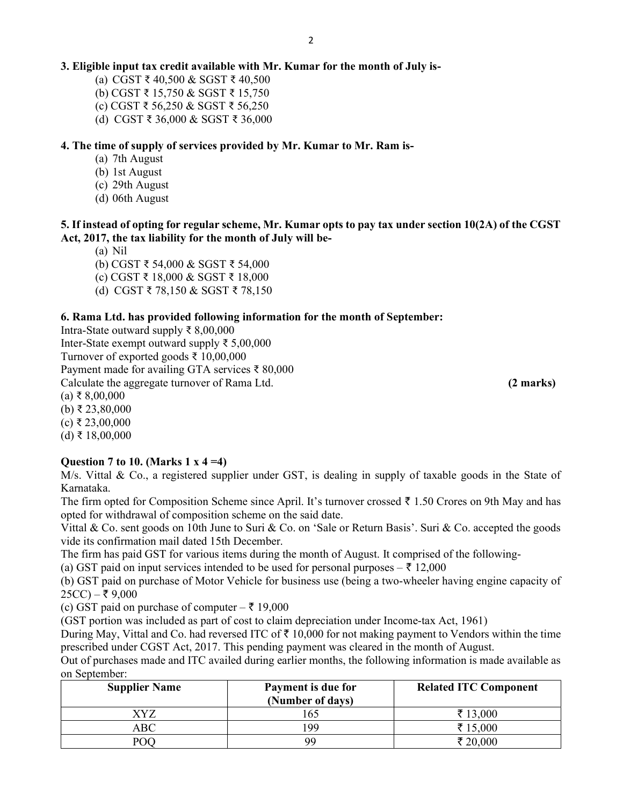## 3. Eligible input tax credit available with Mr. Kumar for the month of July is-

(a) CGST ₹ 40,500 & SGST ₹ 40,500

- (b) CGST ₹ 15,750 & SGST ₹ 15,750
- (c) CGST ₹ 56,250 & SGST ₹ 56,250
- (d) CGST ₹ 36,000 & SGST ₹ 36,000

#### 4. The time of supply of services provided by Mr. Kumar to Mr. Ram is-

- (a) 7th August
- (b) 1st August
- (c) 29th August
- (d) 06th August

## 5. If instead of opting for regular scheme, Mr. Kumar opts to pay tax under section 10(2A) of the CGST Act, 2017, the tax liability for the month of July will be-

- (a) Nil
- (b) CGST ₹ 54,000 & SGST ₹ 54,000
- (c) CGST ₹ 18,000 & SGST ₹ 18,000
- (d) CGST ₹ 78,150 & SGST ₹ 78,150

#### 6. Rama Ltd. has provided following information for the month of September:

Intra-State outward supply ₹ 8,00,000 Inter-State exempt outward supply ₹ 5,00,000 Turnover of exported goods ₹ 10,00,000 Payment made for availing GTA services ₹ 80,000 Calculate the aggregate turnover of Rama Ltd. (2 marks) (2 marks)  $(a)$  ₹ 8,00,000 (b) ₹ 23,80,000  $(c)$  ₹ 23,00,000 (d) ₹ 18,00,000

#### Question 7 to 10. (Marks  $1 \times 4 = 4$ )

M/s. Vittal & Co., a registered supplier under GST, is dealing in supply of taxable goods in the State of Karnataka.

The firm opted for Composition Scheme since April. It's turnover crossed  $\bar{\tau}$  1.50 Crores on 9th May and has opted for withdrawal of composition scheme on the said date.

Vittal & Co. sent goods on 10th June to Suri & Co. on 'Sale or Return Basis'. Suri & Co. accepted the goods vide its confirmation mail dated 15th December.

The firm has paid GST for various items during the month of August. It comprised of the following-

(a) GST paid on input services intended to be used for personal purposes  $-\bar{\tau}$  12,000

(b) GST paid on purchase of Motor Vehicle for business use (being a two-wheeler having engine capacity of  $25CC$ ) – ₹ 9,000

(c) GST paid on purchase of computer  $-\bar{z}$  19,000

(GST portion was included as part of cost to claim depreciation under Income-tax Act, 1961)

During May, Vittal and Co. had reversed ITC of  $\bar{\tau}$  10,000 for not making payment to Vendors within the time prescribed under CGST Act, 2017. This pending payment was cleared in the month of August.

Out of purchases made and ITC availed during earlier months, the following information is made available as on September:

| <b>Supplier Name</b> | Payment is due for<br>(Number of days) | <b>Related ITC Component</b> |
|----------------------|----------------------------------------|------------------------------|
| XYZ                  | 165                                    | ₹ 13,000                     |
| ABC                  | 199                                    | ₹ 15,000                     |
| POC                  | 99                                     | ₹ 20,000                     |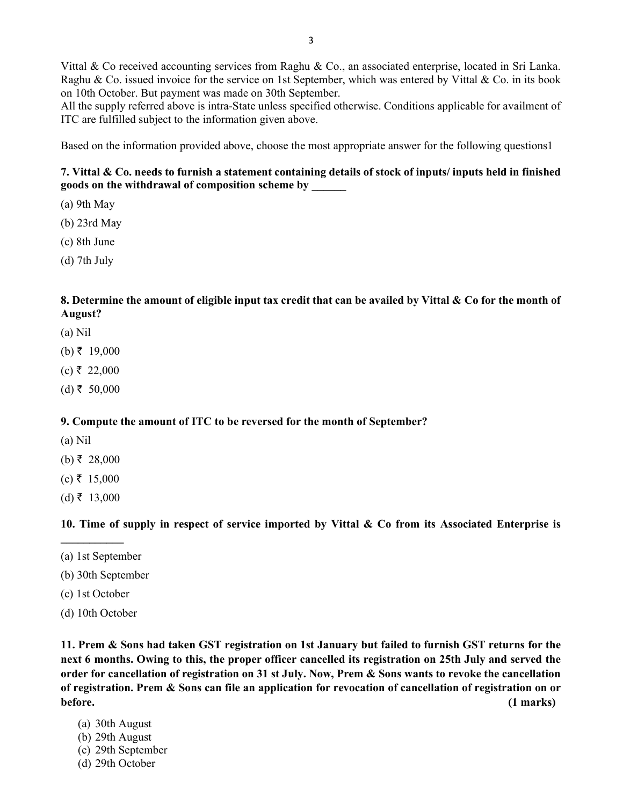Vittal & Co received accounting services from Raghu & Co., an associated enterprise, located in Sri Lanka. Raghu & Co. issued invoice for the service on 1st September, which was entered by Vittal & Co. in its book on 10th October. But payment was made on 30th September.

All the supply referred above is intra-State unless specified otherwise. Conditions applicable for availment of ITC are fulfilled subject to the information given above.

Based on the information provided above, choose the most appropriate answer for the following questions1

## 7. Vittal & Co. needs to furnish a statement containing details of stock of inputs/ inputs held in finished goods on the withdrawal of composition scheme by \_\_\_\_\_\_

- (a) 9th May
- (b) 23rd May
- (c) 8th June
- (d) 7th July

#### 8. Determine the amount of eligible input tax credit that can be availed by Vittal & Co for the month of August?

- (a) Nil
- $(b)$  ₹ 19,000
- $(c)$  ₹ 22,000
- $(d)$  ₹ 50,000

#### 9. Compute the amount of ITC to be reversed for the month of September?

- (a) Nil
- $(b)$ ₹ 28,000
- $(c)$  ₹ 15,000
- $(d)$  ₹ 13,000

#### 10. Time of supply in respect of service imported by Vittal & Co from its Associated Enterprise is

(a) 1st September

 $\mathcal{L}=\mathcal{L}^{\mathcal{L}}$ 

- (b) 30th September
- (c) 1st October
- (d) 10th October

11. Prem & Sons had taken GST registration on 1st January but failed to furnish GST returns for the next 6 months. Owing to this, the proper officer cancelled its registration on 25th July and served the order for cancellation of registration on 31 st July. Now, Prem & Sons wants to revoke the cancellation of registration. Prem & Sons can file an application for revocation of cancellation of registration on or before. (1 marks)

- (a) 30th August
- (b) 29th August
- (c) 29th September
- (d) 29th October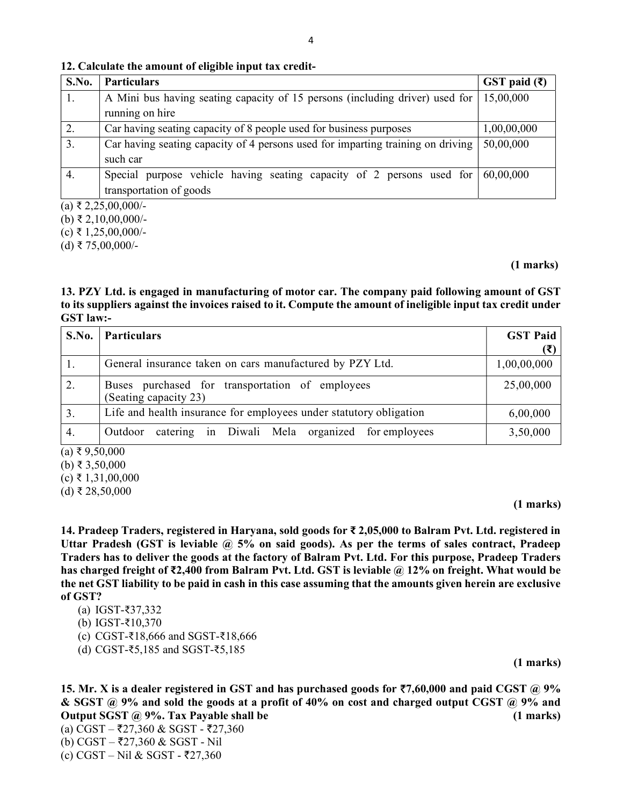#### 12. Calculate the amount of eligible input tax credit-

| S.No. | <b>Particulars</b>                                                              | GST paid $(\bar{\mathbf{\mathsf{z}}})$ |
|-------|---------------------------------------------------------------------------------|----------------------------------------|
| 1.    | A Mini bus having seating capacity of 15 persons (including driver) used for    | 15,00,000                              |
|       | running on hire                                                                 |                                        |
| 2.    | Car having seating capacity of 8 people used for business purposes              | 1,00,00,000                            |
| 3.    | Car having seating capacity of 4 persons used for imparting training on driving | 50,00,000                              |
|       | such car                                                                        |                                        |
| 4.    | Special purpose vehicle having seating capacity of 2 persons used for           | 60,00,000                              |
|       | transportation of goods                                                         |                                        |
|       | (a) ₹ 2,25,00,000/-                                                             |                                        |

(b) ₹ 2,10,00,000/-

(c) ₹ 1,25,00,000/-

(d) ₹ 75,00,000/-

#### (1 marks)

#### 13. PZY Ltd. is engaged in manufacturing of motor car. The company paid following amount of GST to its suppliers against the invoices raised to it. Compute the amount of ineligible input tax credit under GST law:-

| S.No.                                                                                                                                                                                                                                                                                                            | <b>Particulars</b>                                                       | <b>GST Paid</b> |
|------------------------------------------------------------------------------------------------------------------------------------------------------------------------------------------------------------------------------------------------------------------------------------------------------------------|--------------------------------------------------------------------------|-----------------|
|                                                                                                                                                                                                                                                                                                                  | General insurance taken on cars manufactured by PZY Ltd.                 | 1,00,00,000     |
| 2.                                                                                                                                                                                                                                                                                                               | Buses purchased for transportation of employees<br>(Seating capacity 23) | 25,00,000       |
| 3.                                                                                                                                                                                                                                                                                                               | Life and health insurance for employees under statutory obligation       | 6,00,000        |
| 4.<br>$\sqrt{2}$ $\pm$ $\sqrt{2}$ $\pm$ $\sqrt{2}$ $\pm$ $\sqrt{2}$ $\sqrt{2}$ $\pm$ $\sqrt{2}$ $\sqrt{2}$ $\sqrt{2}$ $\sqrt{2}$ $\sqrt{2}$ $\sqrt{2}$ $\sqrt{2}$ $\sqrt{2}$ $\sqrt{2}$ $\sqrt{2}$ $\sqrt{2}$ $\sqrt{2}$ $\sqrt{2}$ $\sqrt{2}$ $\sqrt{2}$ $\sqrt{2}$ $\sqrt{2}$ $\sqrt{2}$ $\sqrt{2}$ $\sqrt{2}$ | catering in Diwali Mela organized for employees<br>Outdoor               | 3,50,000        |

 $(a)$  ₹ 9,50,000

(b) ₹ 3,50,000

 $(c)$  ₹ 1,31,00,000

(d) ₹ 28,50,000

#### (1 marks)

14. Pradeep Traders, registered in Haryana, sold goods for ₹ 2,05,000 to Balram Pvt. Ltd. registered in Uttar Pradesh (GST is leviable  $\omega$  5% on said goods). As per the terms of sales contract, Pradeep Traders has to deliver the goods at the factory of Balram Pvt. Ltd. For this purpose, Pradeep Traders has charged freight of ₹2,400 from Balram Pvt. Ltd. GST is leviable @ 12% on freight. What would be the net GST liability to be paid in cash in this case assuming that the amounts given herein are exclusive of GST?

- (a) IGST-₹37,332
- (b) IGST-₹10,370
- (c) CGST-₹18,666 and SGST-₹18,666
- (d) CGST-₹5,185 and SGST-₹5,185

(1 marks)

15. Mr. X is a dealer registered in GST and has purchased goods for  $\overline{57,60,000}$  and paid CGST @ 9% & SGST @ 9% and sold the goods at a profit of 40% on cost and charged output CGST @ 9% and Output SGST @ 9%. Tax Payable shall be (1 marks)

(a) CGST – ₹27,360 & SGST - ₹27,360 (b) CGST – ₹27,360 & SGST - Nil (c) CGST – Nil & SGST - ₹27,360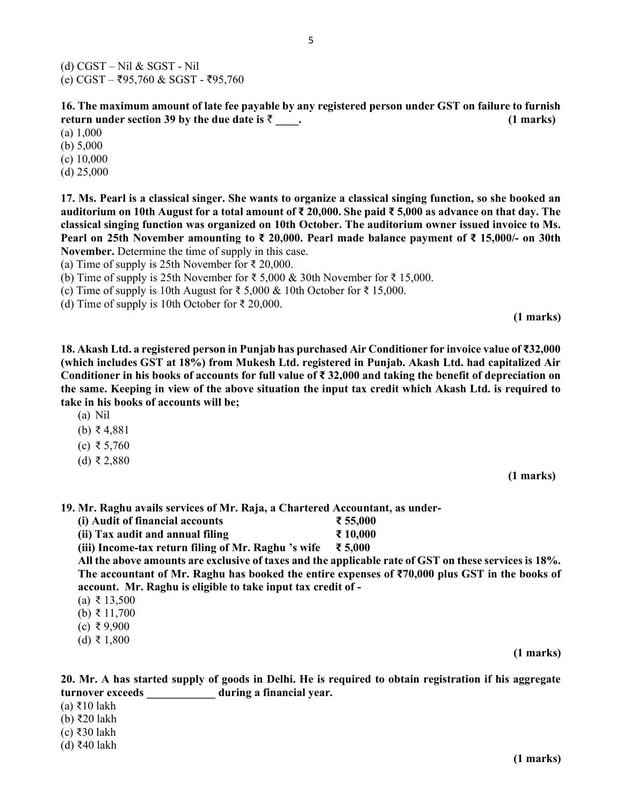(d) CGST – Nil & SGST - Nil  $(e)$  CGST – ₹95,760 & SGST - ₹95,760

16. The maximum amount of late fee payable by any registered person under GST on failure to furnish return under section 39 by the due date is  $\bar{\zeta}$  and the section 39 by the due date is  $\bar{\zeta}$  and the section 39 by the due date is  $\bar{\zeta}$  and the section 39 by the due date is  $\bar{\zeta}$  and the section 39 by the du

(a) 1,000

(b) 5,000

(c) 10,000

(d) 25,000

17. Ms. Pearl is a classical singer. She wants to organize a classical singing function, so she booked an auditorium on 10th August for a total amount of ₹ 20,000. She paid ₹ 5,000 as advance on that day. The classical singing function was organized on 10th October. The auditorium owner issued invoice to Ms. Pearl on 25th November amounting to ₹ 20,000. Pearl made balance payment of ₹ 15,000/- on 30th November. Determine the time of supply in this case.

(a) Time of supply is 25th November for ₹ 20,000.

(b) Time of supply is 25th November for ₹ 5,000 & 30th November for ₹ 15,000.

(c) Time of supply is 10th August for ₹ 5,000 & 10th October for ₹ 15,000.

(d) Time of supply is 10th October for  $\bar{\tau}$  20,000.

(1 marks)

18. Akash Ltd. a registered person in Punjab has purchased Air Conditioner for invoice value of ₹32,000 (which includes GST at 18%) from Mukesh Ltd. registered in Punjab. Akash Ltd. had capitalized Air Conditioner in his books of accounts for full value of  $\bar{\tau}$  32,000 and taking the benefit of depreciation on the same. Keeping in view of the above situation the input tax credit which Akash Ltd. is required to take in his books of accounts will be;

- (a) Nil
- (b) ₹ 4,881
- (c) ₹ 5,760
- (d) ₹ 2,880

(1 marks)

19. Mr. Raghu avails services of Mr. Raja, a Chartered Accountant, as under-

| (i) Audit of financial accounts | ₹ 55,000 |
|---------------------------------|----------|
|---------------------------------|----------|

(ii) Tax audit and annual filing  $\bar{\tau}$  10,000

(iii) Income-tax return filing of Mr. Raghu 's wife  $\bar{\tau}$  5,000

All the above amounts are exclusive of taxes and the applicable rate of GST on these services is 18%. The accountant of Mr. Raghu has booked the entire expenses of ₹70,000 plus GST in the books of account. Mr. Raghu is eligible to take input tax credit of -

- (a) ₹ 13,500
- (b) ₹ 11,700
- (c) ₹ 9,900
- (d) ₹ 1,800

(1 marks)

20. Mr. A has started supply of goods in Delhi. He is required to obtain registration if his aggregate turnover exceeds during a financial year.

(a) ₹10 lakh

(b) ₹20 lakh

(c) ₹30 lakh

(d) ₹40 lakh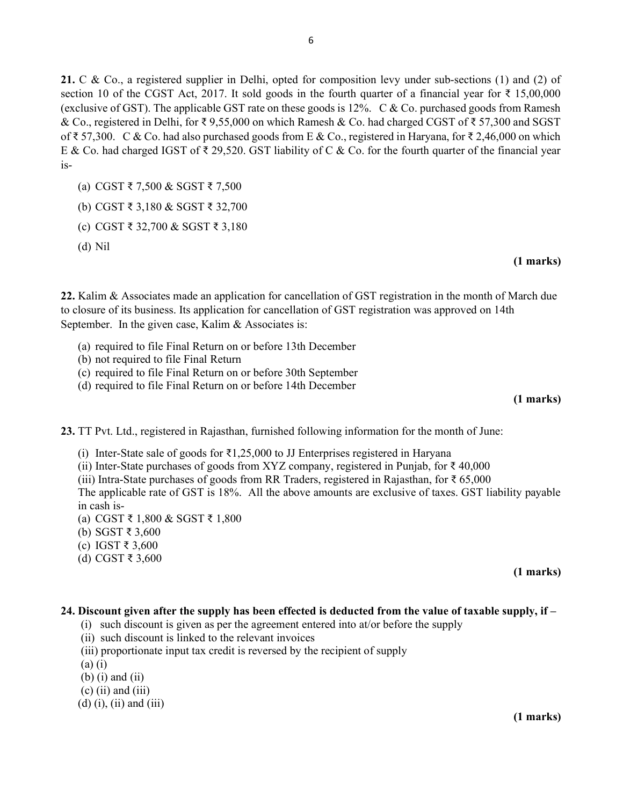21. C & Co., a registered supplier in Delhi, opted for composition levy under sub-sections (1) and (2) of section 10 of the CGST Act, 2017. It sold goods in the fourth quarter of a financial year for  $\bar{\tau}$  15,00,000 (exclusive of GST). The applicable GST rate on these goods is 12%. C & Co. purchased goods from Ramesh & Co., registered in Delhi, for ₹ 9,55,000 on which Ramesh & Co. had charged CGST of ₹ 57,300 and SGST of ₹ 57,300. C & Co. had also purchased goods from E & Co., registered in Haryana, for ₹ 2,46,000 on which E & Co. had charged IGST of ₹ 29,520. GST liability of C & Co. for the fourth quarter of the financial year is-

- (a) CGST ₹ 7,500 & SGST ₹ 7,500
- (b) CGST ₹ 3,180 & SGST ₹ 32,700
- (c) CGST ₹ 32,700 & SGST ₹ 3,180
- (d) Nil

#### (1 marks)

22. Kalim & Associates made an application for cancellation of GST registration in the month of March due to closure of its business. Its application for cancellation of GST registration was approved on 14th September. In the given case, Kalim & Associates is:

- (a) required to file Final Return on or before 13th December
- (b) not required to file Final Return
- (c) required to file Final Return on or before 30th September
- (d) required to file Final Return on or before 14th December

#### (1 marks)

23. TT Pvt. Ltd., registered in Rajasthan, furnished following information for the month of June:

- (i) Inter-State sale of goods for  $\bar{\tau}$ 1,25,000 to JJ Enterprises registered in Haryana
- (ii) Inter-State purchases of goods from XYZ company, registered in Punjab, for  $\bar{\xi}$  40,000
- (iii) Intra-State purchases of goods from RR Traders, registered in Rajasthan, for  $\bar{\tau}$  65,000

The applicable rate of GST is 18%. All the above amounts are exclusive of taxes. GST liability payable in cash is-

- (a) CGST ₹ 1,800 & SGST ₹ 1,800
- (b) SGST ₹ 3,600
- (c) IGST ₹ 3,600
- (d) CGST ₹ 3,600

#### (1 marks)

#### 24. Discount given after the supply has been effected is deducted from the value of taxable supply, if –

- (i) such discount is given as per the agreement entered into at/or before the supply
- (ii) such discount is linked to the relevant invoices
- (iii) proportionate input tax credit is reversed by the recipient of supply
- (a) (i)
- $(b)$  (i) and (ii)
- $(c)$  (ii) and (iii)
- $(d)$  (i), (ii) and (iii)

(1 marks)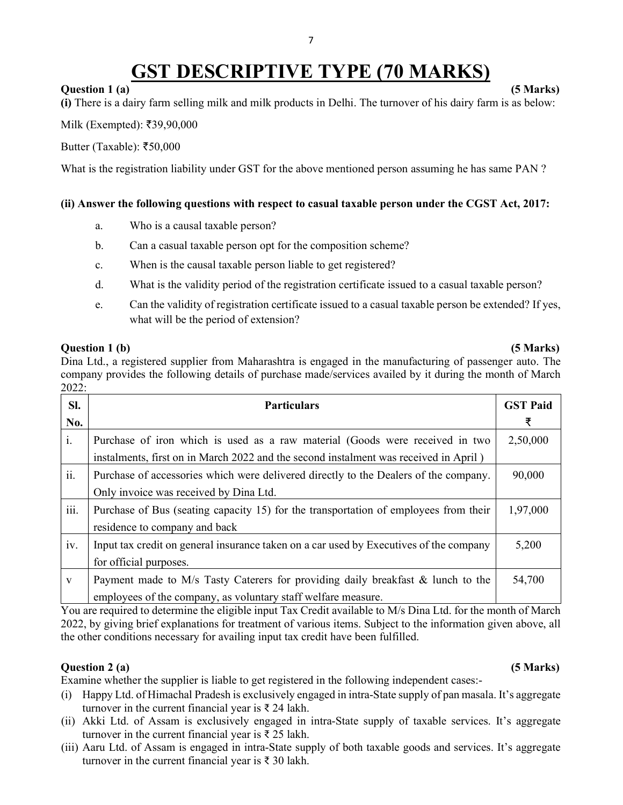## GST DESCRIPTIVE TYPE (70 MARKS)

#### Question 1 (a) (5 Marks)

(i) There is a dairy farm selling milk and milk products in Delhi. The turnover of his dairy farm is as below:

 $Milk$  (Exempted): ₹39,90,000

Butter (Taxable): ₹50,000

What is the registration liability under GST for the above mentioned person assuming he has same PAN ?

#### (ii) Answer the following questions with respect to casual taxable person under the CGST Act, 2017:

- a. Who is a causal taxable person?
- b. Can a casual taxable person opt for the composition scheme?
- c. When is the causal taxable person liable to get registered?
- d. What is the validity period of the registration certificate issued to a casual taxable person?
- e. Can the validity of registration certificate issued to a casual taxable person be extended? If yes, what will be the period of extension?

#### Question 1 (b) (5 Marks)

Dina Ltd., a registered supplier from Maharashtra is engaged in the manufacturing of passenger auto. The company provides the following details of purchase made/services availed by it during the month of March 2022:

| SI.          | <b>Particulars</b>                                                                     | <b>GST Paid</b> |
|--------------|----------------------------------------------------------------------------------------|-----------------|
| No.          |                                                                                        | ₹               |
| i.           | Purchase of iron which is used as a raw material (Goods were received in two           | 2,50,000        |
|              | instalments, first on in March 2022 and the second instalment was received in April)   |                 |
| ii.          | Purchase of accessories which were delivered directly to the Dealers of the company.   | 90,000          |
|              | Only invoice was received by Dina Ltd.                                                 |                 |
| iii.         | Purchase of Bus (seating capacity 15) for the transportation of employees from their   | 1,97,000        |
|              | residence to company and back                                                          |                 |
| iv.          | Input tax credit on general insurance taken on a car used by Executives of the company | 5,200           |
|              | for official purposes.                                                                 |                 |
| $\mathbf{V}$ | Payment made to M/s Tasty Caterers for providing daily breakfast & lunch to the        | 54,700          |
|              | employees of the company, as voluntary staff welfare measure.                          |                 |

You are required to determine the eligible input Tax Credit available to M/s Dina Ltd. for the month of March 2022, by giving brief explanations for treatment of various items. Subject to the information given above, all the other conditions necessary for availing input tax credit have been fulfilled.

## Question 2 (a) (5 Marks)

Examine whether the supplier is liable to get registered in the following independent cases:-

- (i) Happy Ltd. of Himachal Pradesh is exclusively engaged in intra-State supply of pan masala. It's aggregate turnover in the current financial year is  $\bar{\tau}$  24 lakh.
- (ii) Akki Ltd. of Assam is exclusively engaged in intra-State supply of taxable services. It's aggregate turnover in the current financial year is  $\bar{\tau}$  25 lakh.
- (iii) Aaru Ltd. of Assam is engaged in intra-State supply of both taxable goods and services. It's aggregate turnover in the current financial year is ₹ 30 lakh.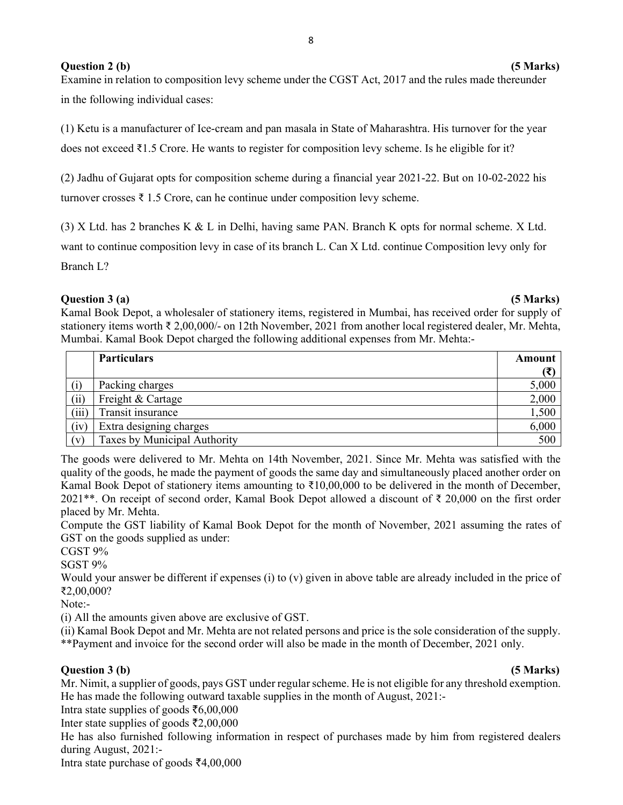#### Question 2 (b) (5 Marks)

Examine in relation to composition levy scheme under the CGST Act, 2017 and the rules made thereunder in the following individual cases:

(1) Ketu is a manufacturer of Ice-cream and pan masala in State of Maharashtra. His turnover for the year does not exceed ₹1.5 Crore. He wants to register for composition levy scheme. Is he eligible for it?

(2) Jadhu of Gujarat opts for composition scheme during a financial year 2021-22. But on 10-02-2022 his turnover crosses  $\bar{\xi}$  1.5 Crore, can he continue under composition levy scheme.

(3) X Ltd. has 2 branches K & L in Delhi, having same PAN. Branch K opts for normal scheme. X Ltd.

want to continue composition levy in case of its branch L. Can X Ltd. continue Composition levy only for

Branch L?

#### Question 3 (a) (5 Marks)

Kamal Book Depot, a wholesaler of stationery items, registered in Mumbai, has received order for supply of stationery items worth ₹ 2,00,000/- on 12th November, 2021 from another local registered dealer, Mr. Mehta, Mumbai. Kamal Book Depot charged the following additional expenses from Mr. Mehta:-

|       | <b>Particulars</b>           | Amount |
|-------|------------------------------|--------|
|       |                              | (₹)    |
|       | Packing charges              | 5,000  |
| (ii)  | Freight & Cartage            | 2,000  |
| (iii) | Transit insurance            | 1,500  |
| (iv)  | Extra designing charges      | 6,000  |
| (v)   | Taxes by Municipal Authority | 500    |

The goods were delivered to Mr. Mehta on 14th November, 2021. Since Mr. Mehta was satisfied with the quality of the goods, he made the payment of goods the same day and simultaneously placed another order on Kamal Book Depot of stationery items amounting to ₹10,00,000 to be delivered in the month of December, 2021\*\*. On receipt of second order, Kamal Book Depot allowed a discount of ₹ 20,000 on the first order placed by Mr. Mehta.

Compute the GST liability of Kamal Book Depot for the month of November, 2021 assuming the rates of GST on the goods supplied as under:

CGST 9%

SGST 9%

Would your answer be different if expenses (i) to (v) given in above table are already included in the price of ₹2,00,000?

Note:-

(i) All the amounts given above are exclusive of GST.

(ii) Kamal Book Depot and Mr. Mehta are not related persons and price is the sole consideration of the supply. \*\*Payment and invoice for the second order will also be made in the month of December, 2021 only.

## Question 3 (b) (5 Marks)

Mr. Nimit, a supplier of goods, pays GST under regular scheme. He is not eligible for any threshold exemption. He has made the following outward taxable supplies in the month of August, 2021:-

Intra state supplies of goods  $\bar{\epsilon}$ 6,00,000

Inter state supplies of goods  $\bar{\tau}2,00,000$ 

He has also furnished following information in respect of purchases made by him from registered dealers during August, 2021:-

Intra state purchase of goods  $\bar{\xi}4,00,000$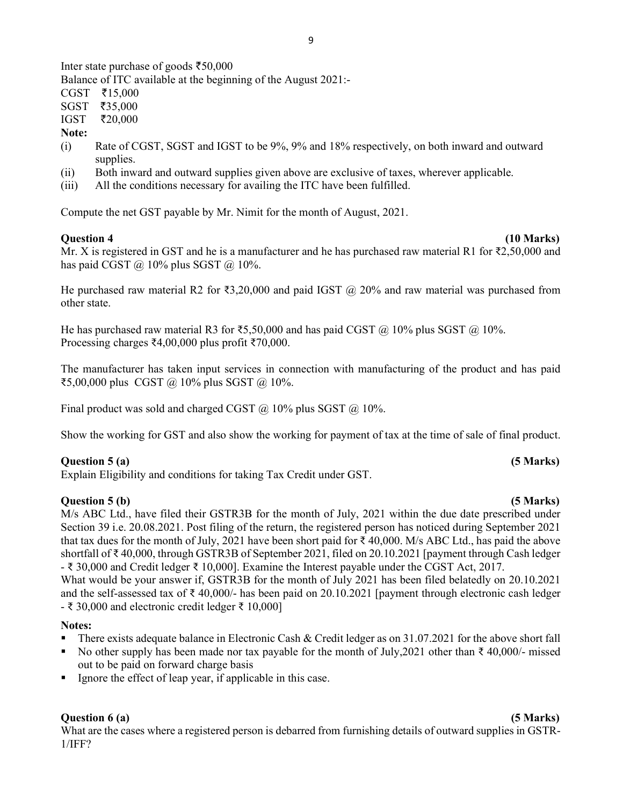Inter state purchase of goods  $\overline{550,000}$ 

Balance of ITC available at the beginning of the August 2021:-

 $CGST$   $\bar{z}15,000$ 

SGST ₹35,000

IGST `20,000

#### Note:

- (i) Rate of CGST, SGST and IGST to be 9%, 9% and 18% respectively, on both inward and outward supplies.
- (ii) Both inward and outward supplies given above are exclusive of taxes, wherever applicable.
- (iii) All the conditions necessary for availing the ITC have been fulfilled.

Compute the net GST payable by Mr. Nimit for the month of August, 2021.

#### Question 4 (10 Marks)

Mr. X is registered in GST and he is a manufacturer and he has purchased raw material R1 for ₹2,50,000 and has paid CGST  $\omega$  10% plus SGST  $\omega$  10%.

He purchased raw material R2 for ₹3,20,000 and paid IGST @ 20% and raw material was purchased from other state.

He has purchased raw material R3 for ₹5,50,000 and has paid CGST  $@$  10% plus SGST  $@$  10%. Processing charges ₹4,00,000 plus profit ₹70,000.

The manufacturer has taken input services in connection with manufacturing of the product and has paid ₹5,00,000 plus CGST @ 10% plus SGST @ 10%.

Final product was sold and charged CGST  $\omega$  10% plus SGST  $\omega$  10%.

Show the working for GST and also show the working for payment of tax at the time of sale of final product.

## Question 5 (a) (5 Marks)

Explain Eligibility and conditions for taking Tax Credit under GST.

## Question 5 (b) (5 Marks)

M/s ABC Ltd., have filed their GSTR3B for the month of July, 2021 within the due date prescribed under Section 39 i.e. 20.08.2021. Post filing of the return, the registered person has noticed during September 2021 that tax dues for the month of July, 2021 have been short paid for ₹ 40,000. M/s ABC Ltd., has paid the above shortfall of ₹ 40,000, through GSTR3B of September 2021, filed on 20.10.2021 [payment through Cash ledger - ₹ 30,000 and Credit ledger ₹ 10,000]. Examine the Interest payable under the CGST Act, 2017.

What would be your answer if, GSTR3B for the month of July 2021 has been filed belatedly on 20.10.2021 and the self-assessed tax of  $\bar{\tau}$  40,000/- has been paid on 20.10.2021 [payment through electronic cash ledger  $-$  ₹ 30,000 and electronic credit ledger ₹ 10,000]

#### Notes:

- There exists adequate balance in Electronic Cash & Credit ledger as on  $31.07.2021$  for the above short fall
- No other supply has been made nor tax payable for the month of July, 2021 other than  $\bar{\tau}$  40,000/- missed out to be paid on forward charge basis
- Ignore the effect of leap year, if applicable in this case.

## Question 6 (a) (5 Marks)

What are the cases where a registered person is debarred from furnishing details of outward supplies in GSTR-1/IFF?